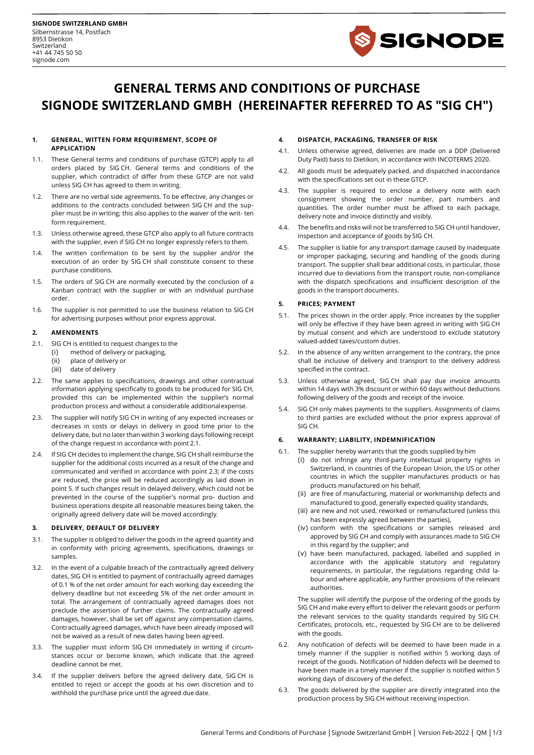

# **GENERAL TERMS AND CONDITIONS OF PURCHASE SIGNODE SWITZERLAND GMBH (HEREINAFTER REFERRED TO AS "SIG CH")**

#### **1. GENERAL, WITTEN FORM REQUIREMENT, SCOPE OF APPLICATION**

- 1.1. These General terms and conditions of purchase (GTCP) apply to all orders placed by SIG CH. General terms and conditions of the supplier, which contradict of differ from these GTCP are not valid unless SIG CH has agreed to them in writing.
- 1.2. There are no verbal side agreements. To be effective, any changes or additions to the contracts concluded between SIG CH and the supplier must be in writing; this also applies to the waiver of the writ- ten form requirement.
- 1.3. Unless otherwise agreed, these GTCP also apply to all future contracts with the supplier, even if SIG CH no longer expressly refers to them.
- 1.4. The written confirmation to be sent by the supplier and/or the execution of an order by SIG CH shall constitute consent to these purchase conditions.
- 1.5. The orders of SIG CH are normally executed by the conclusion of a Kanban contract with the supplier or with an individual purchase order.
- 1.6. The supplier is not permitted to use the business relation to SIG CH for advertising purposes without prior express approval.

## **2. AMENDMENTS**

- 2.1. SIG CH is entitled to request changes to the
	- (i) method of delivery or packaging,
		- (ii) place of delivery or
		- (iii) date of delivery
- 2.2. The same applies to specifications, drawings and other contractual information applying specifically to goods to be produced for SIG CH, provided this can be implemented within the supplier's normal production process and without a considerable additionalexpense.
- 2.3. The supplier will notify SIG CH in writing of any expected increases or decreases in costs or delays in delivery in good time prior to the delivery date, but no later than within 3 working days following receipt of the change request in accordance with point 2.1.
- 2.4. If SIG CH decides to implement the change, SIG CH shall reimburse the supplier for the additional costs incurred as a result of the change and communicated and verified in accordance with point 2.3; if the costs are reduced, the price will be reduced accordingly as laid down in point 5. If such changes result in delayed delivery, which could not be prevented in the course of the supplier's normal pro- duction and business operations despite all reasonable measures being taken, the originally agreed delivery date will be moved accordingly.

## **3. DELIVERY, DEFAULT OF DELIVERY**

- 3.1. The supplier is obliged to deliver the goods in the agreed quantity and in conformity with pricing agreements, specifications, drawings or samples
- 3.2. In the event of a culpable breach of the contractually agreed delivery dates, SIG CH is entitled to payment of contractually agreed damages of 0.1 % of the net order amount for each working day exceeding the delivery deadline but not exceeding 5% of the net order amount in total. The arrangement of contractually agreed damages does not preclude the assertion of further claims. The contractually agreed damages, however, shall be set off against any compensation claims. Contractually agreed damages, which have been already imposed will not be waived as a result of new dates having been agreed.
- 3.3. The supplier must inform SIG CH immediately in writing if circumstances occur or become known, which indicate that the agreed deadline cannot be met.
- 3.4. If the supplier delivers before the agreed delivery date, SIG CH is entitled to reject or accept the goods at his own discretion and to withhold the purchase price until the agreed due date.

## **4. DISPATCH, PACKAGING, TRANSFER OF RISK**

- 4.1. Unless otherwise agreed, deliveries are made on a DDP (Delivered Duty Paid) basis to Dietikon, in accordance with INCOTERMS 2020.
- 4.2. All goods must be adequately packed, and dispatched inaccordance with the specifications set out in these GTCP.
- 4.3. The supplier is required to enclose a delivery note with each consignment showing the order number, part numbers and quantities. The order number must be affixed to each package, delivery note and invoice distinctly and visibly.
- 4.4. The benefits and risks will not be transferred to SIG CH until handover, inspection and acceptance of goods by SIG CH.
- 4.5. The supplier is liable for any transport damage caused by inadequate or improper packaging, securing and handling of the goods during transport. The supplier shall bear additional costs, in particular, those incurred due to deviations from the transport route, non-compliance with the dispatch specifications and insufficient description of the goods in the transport documents.

## **5. PRICES; PAYMENT**

- 5.1. The prices shown in the order apply. Price increases by the supplier will only be effective if they have been agreed in writing with SIG CH by mutual consent and which are understood to exclude statutory valued-added taxes/custom duties.
- 5.2. In the absence of any written arrangement to the contrary, the price shall be inclusive of delivery and transport to the delivery address specified in the contract.
- 5.3. Unless otherwise agreed, SIG CH shall pay due invoice amounts within 14 days with 3% discount or within 60 days without deductions following delivery of the goods and receipt of the invoice.
- 5.4. SIG CH only makes payments to the suppliers. Assignments of claims to third parties are excluded without the prior express approval of SIG CH.

## **6. WARRANTY; LIABILITY, INDEMNIFICATION**

- 6.1. The supplier hereby warrants that the goods supplied by him
	- (i) do not infringe any third-party intellectual property rights in Switzerland, in countries of the European Union, the US or other countries in which the supplier manufactures products or has products manufactured on his behalf,
	- (ii) are free of manufacturing, material or workmanship defects and manufactured to good, generally expected quality standards,
	- (iii) are new and not used, reworked or remanufactured (unless this has been expressly agreed between the parties),
	- (iv) conform with the specifications or samples released and approved by SIG CH and comply with assurances made to SIG CH in this regard by the supplier; and
	- (v) have been manufactured, packaged, labelled and supplied in accordance with the applicable statutory and regulatory requirements, in particular, the regulations regarding child labour and where applicable, any further provisions of the relevant authorities.

The supplier will identify the purpose of the ordering of the goods by SIG CH and make every effort to deliver the relevant goods or perform the relevant services to the quality standards required by SIG CH. Certificates, protocols, etc., requested by SIG CH are to be delivered with the goods.

- 6.2. Any notification of defects will be deemed to have been made in a timely manner if the supplier is notified within 5 working days of receipt of the goods. Notification of hidden defects will be deemed to have been made in a timely manner if the supplier is notified within 5 working days of discovery of the defect.
- 6.3. The goods delivered by the supplier are directly integrated into the production process by SIG CH without receiving inspection.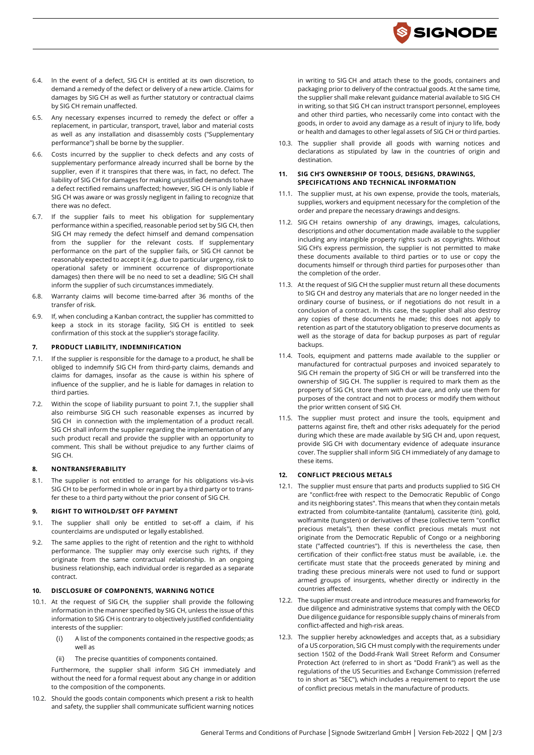

- 6.4. In the event of a defect, SIG CH is entitled at its own discretion, to demand a remedy of the defect or delivery of a new article. Claims for damages by SIG CH as well as further statutory or contractual claims by SIG CH remain unaffected.
- 6.5. Any necessary expenses incurred to remedy the defect or offer a replacement, in particular, transport, travel, labor and material costs as well as any installation and disassembly costs ("Supplementary performance") shall be borne by the supplier.
- 6.6. Costs incurred by the supplier to check defects and any costs of supplementary performance already incurred shall be borne by the supplier, even if it transpires that there was, in fact, no defect. The liability of SIG CH for damages for making unjustified demands tohave a defect rectified remains unaffected; however, SIG CH is only liable if SIG CH was aware or was grossly negligent in failing to recognize that there was no defect.
- 6.7. If the supplier fails to meet his obligation for supplementary performance within a specified, reasonable period set by SIG CH, then SIG CH may remedy the defect himself and demand compensation from the supplier for the relevant costs. If supplementary performance on the part of the supplier fails, or SIG CH cannot be reasonably expected to accept it (e.g. due to particular urgency, risk to operational safety or imminent occurrence of disproportionate damages) then there will be no need to set a deadline; SIG CH shall inform the supplier of such circumstances immediately.
- 6.8. Warranty claims will become time-barred after 36 months of the transfer of risk.
- 6.9. If, when concluding a Kanban contract, the supplier has committed to keep a stock in its storage facility, SIG CH is entitled to seek confirmation of this stock at the supplier's storage facility.

## **7. PRODUCT LIABILITY, INDEMNIFICATION**

- 7.1. If the supplier is responsible for the damage to a product, he shall be obliged to indemnify SIG CH from third-party claims, demands and claims for damages, insofar as the cause is within his sphere of influence of the supplier, and he is liable for damages in relation to third parties.
- 7.2. Within the scope of liability pursuant to point 7.1, the supplier shall also reimburse SIG CH such reasonable expenses as incurred by SIG CH in connection with the implementation of a product recall. SIG CH shall inform the supplier regarding the implementation of any such product recall and provide the supplier with an opportunity to comment. This shall be without prejudice to any further claims of SIG CH.

## **8. NONTRANSFERABILITY**

8.1. The supplier is not entitled to arrange for his obligations vis-à-vis SIG CH to be performed in whole or in part by a third party or to transfer these to a third party without the prior consent of SIG CH.

## **9. RIGHT TO WITHOLD/SET OFF PAYMENT**

- 9.1. The supplier shall only be entitled to set-off a claim, if his counterclaims are undisputed or legally established.
- 9.2. The same applies to the right of retention and the right to withhold performance. The supplier may only exercise such rights, if they originate from the same contractual relationship. In an ongoing business relationship, each individual order is regarded as a separate contract.

#### **10. DISCLOSURE OF COMPONENTS, WARNING NOTICE**

- 10.1. At the request of SIG CH, the supplier shall provide the following information in the manner specified by SIG CH, unless the issue of this information to SIG CH is contrary to objectively justified confidentiality interests of the supplier:
	- (i) A list of the components contained in the respective goods; as well as
	- (ii) The precise quantities of components contained.

Furthermore, the supplier shall inform SIG CH immediately and without the need for a formal request about any change in or addition to the composition of the components.

10.2. Should the goods contain components which present a risk to health and safety, the supplier shall communicate sufficient warning notices in writing to SIG CH and attach these to the goods, containers and packaging prior to delivery of the contractual goods. At the same time, the supplier shall make relevant guidance material available to SIG CH in writing, so that SIG CH can instruct transport personnel, employees and other third parties, who necessarily come into contact with the goods, in order to avoid any damage as a result of injury to life, body or health and damages to other legal assets of SIG CH or third parties.

10.3. The supplier shall provide all goods with warning notices and declarations as stipulated by law in the countries of origin and destination.

#### **11. SIG CH'S OWNERSHIP OF TOOLS, DESIGNS, DRAWINGS, SPECIFICATIONS AND TECHNICAL INFORMATION**

- 11.1. The supplier must, at his own expense, provide the tools, materials, supplies, workers and equipment necessary for the completion of the order and prepare the necessary drawings and designs.
- 11.2. SIG CH retains ownership of any drawings, images, calculations, descriptions and other documentation made available to the supplier including any intangible property rights such as copyrights. Without SIG CH's express permission, the supplier is not permitted to make these documents available to third parties or to use or copy the documents himself or through third parties for purposesother than the completion of the order.
- 11.3. At the request of SIG CH the supplier must return all these documents to SIG CH and destroy any materials that are no longer needed in the ordinary course of business, or if negotiations do not result in a conclusion of a contract. In this case, the supplier shall also destroy any copies of these documents he made; this does not apply to retention as part of the statutory obligation to preserve documents as well as the storage of data for backup purposes as part of regular backups.
- 11.4. Tools, equipment and patterns made available to the supplier or manufactured for contractual purposes and invoiced separately to SIG CH remain the property of SIG CH or will be transferred into the ownership of SIG CH. The supplier is required to mark them as the property of SIG CH, store them with due care, and only use them for purposes of the contract and not to process or modify them without the prior written consent of SIG CH.
- 11.5. The supplier must protect and insure the tools, equipment and patterns against fire, theft and other risks adequately for the period during which these are made available by SIG CH and, upon request, provide SIG CH with documentary evidence of adequate insurance cover. The supplier shall inform SIG CH immediately of any damage to these items.

## **12. CONFLICT PRECIOUS METALS**

- 12.1. The supplier must ensure that parts and products supplied to SIG CH are "conflict-free with respect to the Democratic Republic of Congo and its neighboring states". This means that when they contain metals extracted from columbite-tantalite (tantalum), cassiterite (tin), gold, wolframite (tungsten) or derivatives of these (collective term "conflict precious metals"), then these conflict precious metals must not originate from the Democratic Republic of Congo or a neighboring state ("affected countries"). If this is nevertheless the case, then certification of their conflict-free status must be available, i.e. the certificate must state that the proceeds generated by mining and trading these precious minerals were not used to fund or support armed groups of insurgents, whether directly or indirectly in the countries affected.
- 12.2. The supplier must create and introduce measures and frameworks for due diligence and administrative systems that comply with the OECD Due diligence guidance for responsible supply chains of minerals from conflict-affected and high-risk areas.
- 12.3. The supplier hereby acknowledges and accepts that, as a subsidiary of a US corporation, SIG CH must comply with the requirements under section 1502 of the Dodd-Frank Wall Street Reform and Consumer Protection Act (referred to in short as "Dodd Frank") as well as the regulations of the US Securities and Exchange Commission (referred to in short as "SEC"), which includes a requirement to report the use of conflict precious metals in the manufacture of products.